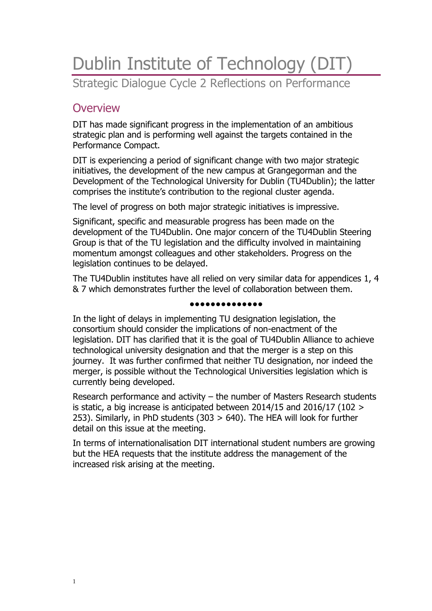# Dublin Institute of Technology (DIT) Strategic Dialogue Cycle 2 Reflections on Performance

# **Overview**

DIT has made significant progress in the implementation of an ambitious strategic plan and is performing well against the targets contained in the Performance Compact.

DIT is experiencing a period of significant change with two major strategic initiatives, the development of the new campus at Grangegorman and the Development of the Technological University for Dublin (TU4Dublin); the latter comprises the institute's contribution to the regional cluster agenda.

The level of progress on both major strategic initiatives is impressive.

Significant, specific and measurable progress has been made on the development of the TU4Dublin. One major concern of the TU4Dublin Steering Group is that of the TU legislation and the difficulty involved in maintaining momentum amongst colleagues and other stakeholders. Progress on the legislation continues to be delayed.

The TU4Dublin institutes have all relied on very similar data for appendices 1, 4 & 7 which demonstrates further the level of collaboration between them.

#### ●●●●●●●●●●●●●●

In the light of delays in implementing TU designation legislation, the consortium should consider the implications of non-enactment of the legislation. DIT has clarified that it is the goal of TU4Dublin Alliance to achieve technological university designation and that the merger is a step on this journey. It was further confirmed that neither TU designation, nor indeed the merger, is possible without the Technological Universities legislation which is currently being developed.

Research performance and activity – the number of Masters Research students is static, a big increase is anticipated between 2014/15 and 2016/17 (102 > 253). Similarly, in PhD students (303 > 640). The HEA will look for further detail on this issue at the meeting.

In terms of internationalisation DIT international student numbers are growing but the HEA requests that the institute address the management of the increased risk arising at the meeting.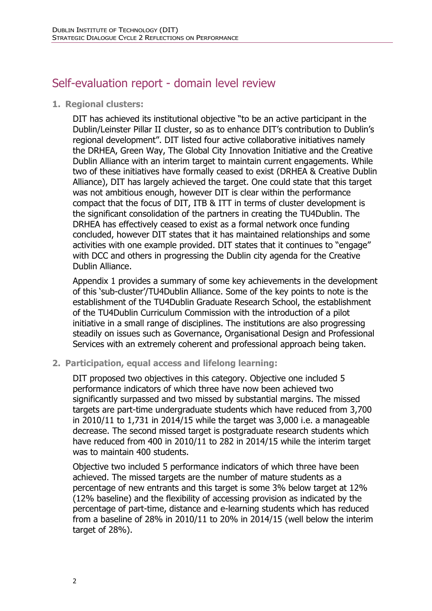# Self-evaluation report - domain level review

**1. Regional clusters:**

DIT has achieved its institutional objective "to be an active participant in the Dublin/Leinster Pillar II cluster, so as to enhance DIT's contribution to Dublin's regional development". DIT listed four active collaborative initiatives namely the DRHEA, Green Way, The Global City Innovation Initiative and the Creative Dublin Alliance with an interim target to maintain current engagements. While two of these initiatives have formally ceased to exist (DRHEA & Creative Dublin Alliance), DIT has largely achieved the target. One could state that this target was not ambitious enough, however DIT is clear within the performance compact that the focus of DIT, ITB & ITT in terms of cluster development is the significant consolidation of the partners in creating the TU4Dublin. The DRHEA has effectively ceased to exist as a formal network once funding concluded, however DIT states that it has maintained relationships and some activities with one example provided. DIT states that it continues to "engage" with DCC and others in progressing the Dublin city agenda for the Creative Dublin Alliance.

Appendix 1 provides a summary of some key achievements in the development of this 'sub-cluster'/TU4Dublin Alliance. Some of the key points to note is the establishment of the TU4Dublin Graduate Research School, the establishment of the TU4Dublin Curriculum Commission with the introduction of a pilot initiative in a small range of disciplines. The institutions are also progressing steadily on issues such as Governance, Organisational Design and Professional Services with an extremely coherent and professional approach being taken.

**2. Participation, equal access and lifelong learning:**

DIT proposed two objectives in this category. Objective one included 5 performance indicators of which three have now been achieved two significantly surpassed and two missed by substantial margins. The missed targets are part-time undergraduate students which have reduced from 3,700 in 2010/11 to 1,731 in 2014/15 while the target was 3,000 i.e. a manageable decrease. The second missed target is postgraduate research students which have reduced from 400 in 2010/11 to 282 in 2014/15 while the interim target was to maintain 400 students.

Objective two included 5 performance indicators of which three have been achieved. The missed targets are the number of mature students as a percentage of new entrants and this target is some 3% below target at 12% (12% baseline) and the flexibility of accessing provision as indicated by the percentage of part-time, distance and e-learning students which has reduced from a baseline of 28% in 2010/11 to 20% in 2014/15 (well below the interim target of 28%).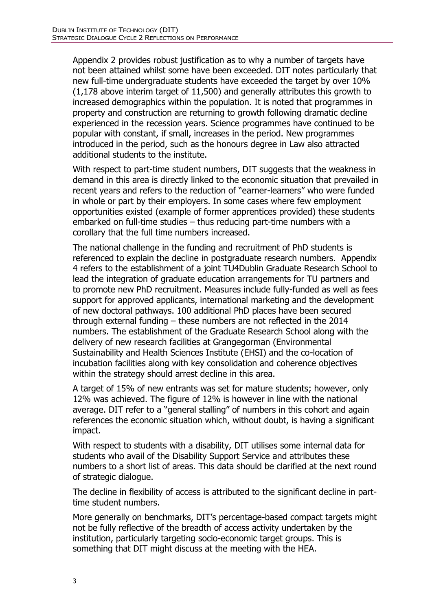Appendix 2 provides robust justification as to why a number of targets have not been attained whilst some have been exceeded. DIT notes particularly that new full-time undergraduate students have exceeded the target by over 10% (1,178 above interim target of 11,500) and generally attributes this growth to increased demographics within the population. It is noted that programmes in property and construction are returning to growth following dramatic decline experienced in the recession years. Science programmes have continued to be popular with constant, if small, increases in the period. New programmes introduced in the period, such as the honours degree in Law also attracted additional students to the institute.

With respect to part-time student numbers, DIT suggests that the weakness in demand in this area is directly linked to the economic situation that prevailed in recent years and refers to the reduction of "earner-learners" who were funded in whole or part by their employers. In some cases where few employment opportunities existed (example of former apprentices provided) these students embarked on full-time studies – thus reducing part-time numbers with a corollary that the full time numbers increased.

The national challenge in the funding and recruitment of PhD students is referenced to explain the decline in postgraduate research numbers. Appendix 4 refers to the establishment of a joint TU4Dublin Graduate Research School to lead the integration of graduate education arrangements for TU partners and to promote new PhD recruitment. Measures include fully-funded as well as fees support for approved applicants, international marketing and the development of new doctoral pathways. 100 additional PhD places have been secured through external funding – these numbers are not reflected in the 2014 numbers. The establishment of the Graduate Research School along with the delivery of new research facilities at Grangegorman (Environmental Sustainability and Health Sciences Institute (EHSI) and the co-location of incubation facilities along with key consolidation and coherence objectives within the strategy should arrest decline in this area.

A target of 15% of new entrants was set for mature students; however, only 12% was achieved. The figure of 12% is however in line with the national average. DIT refer to a "general stalling" of numbers in this cohort and again references the economic situation which, without doubt, is having a significant impact.

With respect to students with a disability, DIT utilises some internal data for students who avail of the Disability Support Service and attributes these numbers to a short list of areas. This data should be clarified at the next round of strategic dialogue.

The decline in flexibility of access is attributed to the significant decline in parttime student numbers.

More generally on benchmarks, DIT's percentage-based compact targets might not be fully reflective of the breadth of access activity undertaken by the institution, particularly targeting socio-economic target groups. This is something that DIT might discuss at the meeting with the HEA.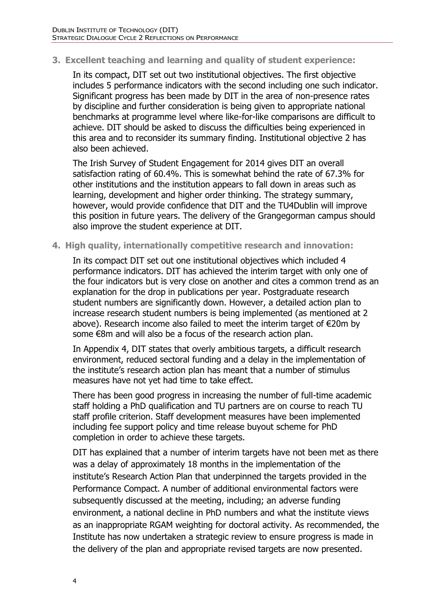#### **3. Excellent teaching and learning and quality of student experience:**

In its compact, DIT set out two institutional objectives. The first objective includes 5 performance indicators with the second including one such indicator. Significant progress has been made by DIT in the area of non-presence rates by discipline and further consideration is being given to appropriate national benchmarks at programme level where like-for-like comparisons are difficult to achieve. DIT should be asked to discuss the difficulties being experienced in this area and to reconsider its summary finding. Institutional objective 2 has also been achieved.

The Irish Survey of Student Engagement for 2014 gives DIT an overall satisfaction rating of 60.4%. This is somewhat behind the rate of 67.3% for other institutions and the institution appears to fall down in areas such as learning, development and higher order thinking. The strategy summary, however, would provide confidence that DIT and the TU4Dublin will improve this position in future years. The delivery of the Grangegorman campus should also improve the student experience at DIT.

#### **4. High quality, internationally competitive research and innovation:**

In its compact DIT set out one institutional objectives which included 4 performance indicators. DIT has achieved the interim target with only one of the four indicators but is very close on another and cites a common trend as an explanation for the drop in publications per year. Postgraduate research student numbers are significantly down. However, a detailed action plan to increase research student numbers is being implemented (as mentioned at 2 above). Research income also failed to meet the interim target of €20m by some €8m and will also be a focus of the research action plan.

In Appendix 4, DIT states that overly ambitious targets, a difficult research environment, reduced sectoral funding and a delay in the implementation of the institute's research action plan has meant that a number of stimulus measures have not yet had time to take effect.

There has been good progress in increasing the number of full-time academic staff holding a PhD qualification and TU partners are on course to reach TU staff profile criterion. Staff development measures have been implemented including fee support policy and time release buyout scheme for PhD completion in order to achieve these targets.

DIT has explained that a number of interim targets have not been met as there was a delay of approximately 18 months in the implementation of the institute's Research Action Plan that underpinned the targets provided in the Performance Compact. A number of additional environmental factors were subsequently discussed at the meeting, including; an adverse funding environment, a national decline in PhD numbers and what the institute views as an inappropriate RGAM weighting for doctoral activity. As recommended, the Institute has now undertaken a strategic review to ensure progress is made in the delivery of the plan and appropriate revised targets are now presented.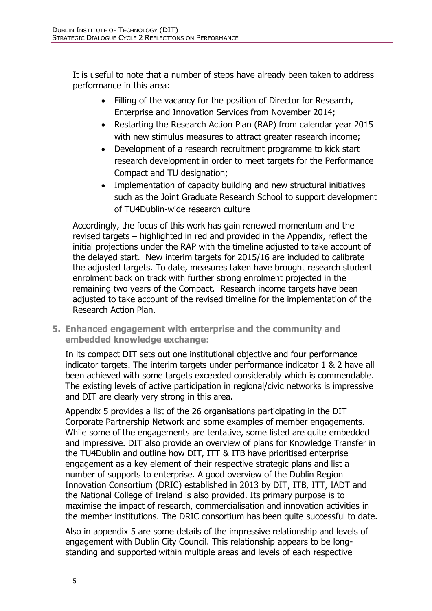It is useful to note that a number of steps have already been taken to address performance in this area:

- Filling of the vacancy for the position of Director for Research, Enterprise and Innovation Services from November 2014;
- Restarting the Research Action Plan (RAP) from calendar year 2015 with new stimulus measures to attract greater research income;
- Development of a research recruitment programme to kick start research development in order to meet targets for the Performance Compact and TU designation;
- Implementation of capacity building and new structural initiatives such as the Joint Graduate Research School to support development of TU4Dublin-wide research culture

Accordingly, the focus of this work has gain renewed momentum and the revised targets – highlighted in red and provided in the Appendix, reflect the initial projections under the RAP with the timeline adjusted to take account of the delayed start. New interim targets for 2015/16 are included to calibrate the adjusted targets. To date, measures taken have brought research student enrolment back on track with further strong enrolment projected in the remaining two years of the Compact. Research income targets have been adjusted to take account of the revised timeline for the implementation of the Research Action Plan.

**5. Enhanced engagement with enterprise and the community and embedded knowledge exchange:**

In its compact DIT sets out one institutional objective and four performance indicator targets. The interim targets under performance indicator 1 & 2 have all been achieved with some targets exceeded considerably which is commendable. The existing levels of active participation in regional/civic networks is impressive and DIT are clearly very strong in this area.

Appendix 5 provides a list of the 26 organisations participating in the DIT Corporate Partnership Network and some examples of member engagements. While some of the engagements are tentative, some listed are quite embedded and impressive. DIT also provide an overview of plans for Knowledge Transfer in the TU4Dublin and outline how DIT, ITT & ITB have prioritised enterprise engagement as a key element of their respective strategic plans and list a number of supports to enterprise. A good overview of the Dublin Region Innovation Consortium (DRIC) established in 2013 by DIT, ITB, ITT, IADT and the National College of Ireland is also provided. Its primary purpose is to maximise the impact of research, commercialisation and innovation activities in the member institutions. The DRIC consortium has been quite successful to date.

Also in appendix 5 are some details of the impressive relationship and levels of engagement with Dublin City Council. This relationship appears to be longstanding and supported within multiple areas and levels of each respective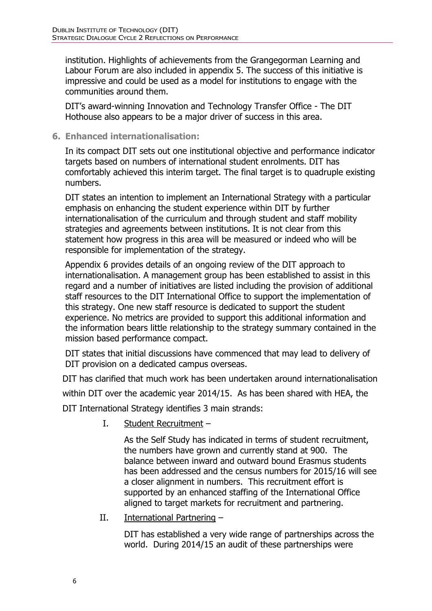institution. Highlights of achievements from the Grangegorman Learning and Labour Forum are also included in appendix 5. The success of this initiative is impressive and could be used as a model for institutions to engage with the communities around them.

DIT's award-winning Innovation and Technology Transfer Office - The DIT Hothouse also appears to be a major driver of success in this area.

## **6. Enhanced internationalisation:**

In its compact DIT sets out one institutional objective and performance indicator targets based on numbers of international student enrolments. DIT has comfortably achieved this interim target. The final target is to quadruple existing numbers.

DIT states an intention to implement an International Strategy with a particular emphasis on enhancing the student experience within DIT by further internationalisation of the curriculum and through student and staff mobility strategies and agreements between institutions. It is not clear from this statement how progress in this area will be measured or indeed who will be responsible for implementation of the strategy.

Appendix 6 provides details of an ongoing review of the DIT approach to internationalisation. A management group has been established to assist in this regard and a number of initiatives are listed including the provision of additional staff resources to the DIT International Office to support the implementation of this strategy. One new staff resource is dedicated to support the student experience. No metrics are provided to support this additional information and the information bears little relationship to the strategy summary contained in the mission based performance compact.

DIT states that initial discussions have commenced that may lead to delivery of DIT provision on a dedicated campus overseas.

DIT has clarified that much work has been undertaken around internationalisation

within DIT over the academic year 2014/15. As has been shared with HEA, the

DIT International Strategy identifies 3 main strands:

I. Student Recruitment –

As the Self Study has indicated in terms of student recruitment, the numbers have grown and currently stand at 900. The balance between inward and outward bound Erasmus students has been addressed and the census numbers for 2015/16 will see a closer alignment in numbers. This recruitment effort is supported by an enhanced staffing of the International Office aligned to target markets for recruitment and partnering.

II. International Partnering –

DIT has established a very wide range of partnerships across the world. During 2014/15 an audit of these partnerships were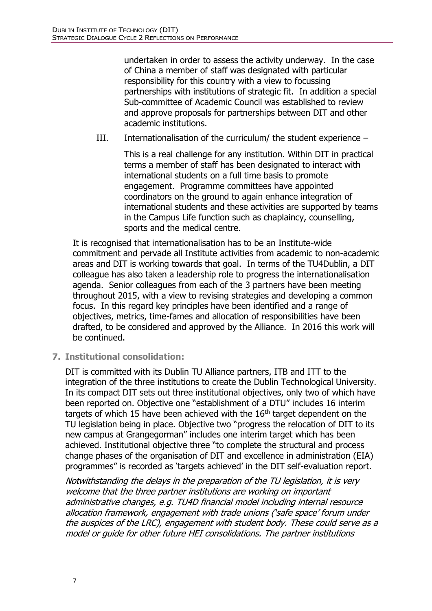undertaken in order to assess the activity underway. In the case of China a member of staff was designated with particular responsibility for this country with a view to focussing partnerships with institutions of strategic fit. In addition a special Sub-committee of Academic Council was established to review and approve proposals for partnerships between DIT and other academic institutions.

## III. Internationalisation of the curriculum/ the student experience –

This is a real challenge for any institution. Within DIT in practical terms a member of staff has been designated to interact with international students on a full time basis to promote engagement. Programme committees have appointed coordinators on the ground to again enhance integration of international students and these activities are supported by teams in the Campus Life function such as chaplaincy, counselling, sports and the medical centre.

It is recognised that internationalisation has to be an Institute-wide commitment and pervade all Institute activities from academic to non-academic areas and DIT is working towards that goal. In terms of the TU4Dublin, a DIT colleague has also taken a leadership role to progress the internationalisation agenda. Senior colleagues from each of the 3 partners have been meeting throughout 2015, with a view to revising strategies and developing a common focus. In this regard key principles have been identified and a range of objectives, metrics, time-fames and allocation of responsibilities have been drafted, to be considered and approved by the Alliance. In 2016 this work will be continued.

**7. Institutional consolidation:**

DIT is committed with its Dublin TU Alliance partners, ITB and ITT to the integration of the three institutions to create the Dublin Technological University. In its compact DIT sets out three institutional objectives, only two of which have been reported on. Objective one "establishment of a DTU" includes 16 interim targets of which 15 have been achieved with the  $16<sup>th</sup>$  target dependent on the TU legislation being in place. Objective two "progress the relocation of DIT to its new campus at Grangegorman" includes one interim target which has been achieved. Institutional objective three "to complete the structural and process change phases of the organisation of DIT and excellence in administration (EIA) programmes" is recorded as 'targets achieved' in the DIT self-evaluation report.

Notwithstanding the delays in the preparation of the TU legislation, it is very welcome that the three partner institutions are working on important administrative changes, e.g. TU4D financial model including internal resource allocation framework, engagement with trade unions ('safe space' forum under the auspices of the LRC), engagement with student body. These could serve as a model or guide for other future HEI consolidations. The partner institutions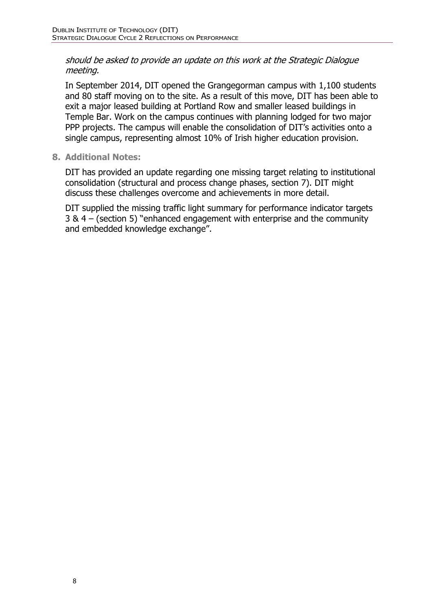#### should be asked to provide an update on this work at the Strategic Dialogue meeting.

In September 2014, DIT opened the Grangegorman campus with 1,100 students and 80 staff moving on to the site. As a result of this move, DIT has been able to exit a major leased building at Portland Row and smaller leased buildings in Temple Bar. Work on the campus continues with planning lodged for two major PPP projects. The campus will enable the consolidation of DIT's activities onto a single campus, representing almost 10% of Irish higher education provision.

## **8. Additional Notes:**

DIT has provided an update regarding one missing target relating to institutional consolidation (structural and process change phases, section 7). DIT might discuss these challenges overcome and achievements in more detail.

DIT supplied the missing traffic light summary for performance indicator targets 3 & 4 – (section 5) "enhanced engagement with enterprise and the community and embedded knowledge exchange".